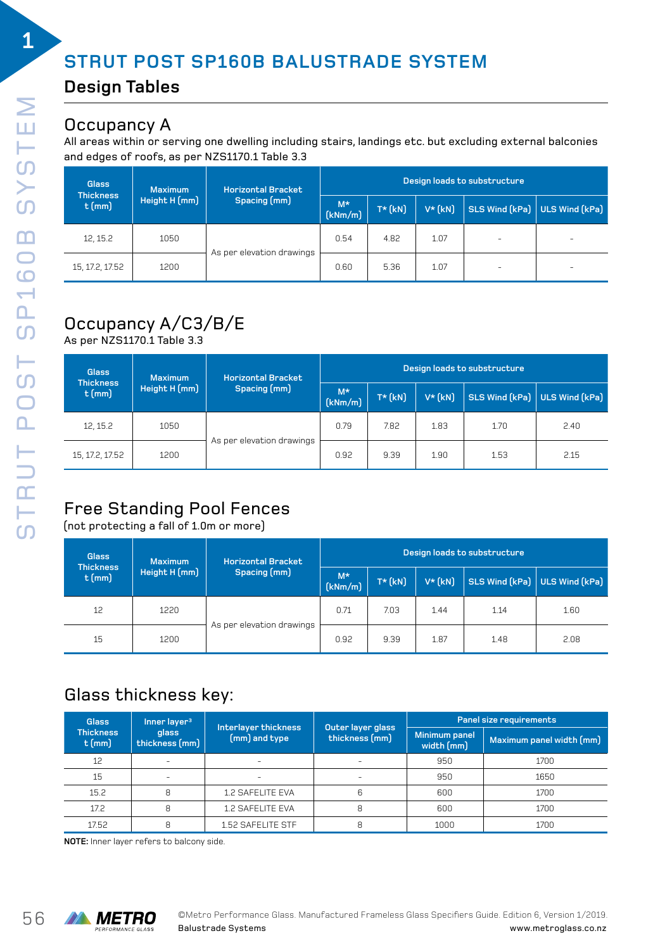# **STRUT POST SP160B BALUSTRADE SYSTEM**

#### **Design Tables**

#### Occupancy A

All areas within or serving one dwelling including stairs, landings etc. but excluding external balconies and edges of roofs, as per NZS1170.1 Table 3.3

| <b>Glass</b><br><b>Thickness</b> | Maximum | <b>Horizontal Bracket</b> | Design loads to substructure |            |          |                          |                               |
|----------------------------------|---------|---------------------------|------------------------------|------------|----------|--------------------------|-------------------------------|
| Height H (mm)<br>$t$ (mm)        |         | Spacing (mm)              | $M^*$<br>(kNm/m)             | $T^*$ (kN) | $V^*(k)$ |                          | SLS Wind (kPa) ULS Wind (kPa) |
| 12, 15.2                         | 1050    |                           | 0.54                         | 4.82       | 1.07     |                          | -                             |
| 15, 17.2, 17.52                  | 1200    | As per elevation drawings | 0.60                         | 5.36       | 1.07     | $\overline{\phantom{a}}$ | -                             |

# Occupancy A/C3/B/E

As per NZS1170.1 Table 3.3

| <b>Glass</b><br><b>Thickness</b> | <b>Maximum</b> | <b>Horizontal Bracket</b><br>Spacing (mm) | Design loads to substructure |            |          |                                 |      |
|----------------------------------|----------------|-------------------------------------------|------------------------------|------------|----------|---------------------------------|------|
| $t$ (mm)                         | Height H (mm)  |                                           | $M^*$<br>(kNm/m)             | $T^*$ (kN) | $V^*(k)$ | $SLS$ Wind (kPa) ULS Wind (kPa) |      |
| 12, 15.2                         | 1050           |                                           | 0.79                         | 7.82       | 1.83     | 1.70                            | 2.40 |
| 15, 17.2, 17.52                  | 1200           | As per elevation drawings                 | 0.92                         | 9.39       | 1.90     | 1.53                            | 2.15 |

# Free Standing Pool Fences

(not protecting a fall of 1.0m or more)

| <b>Glass</b><br><b>Thickness</b> | <b>Maximum</b> | <b>Horizontal Bracket</b> | Design loads to substructure |            |          |                               |      |
|----------------------------------|----------------|---------------------------|------------------------------|------------|----------|-------------------------------|------|
| $t$ (mm)                         | Height H (mm)  | Spacing (mm)              | $M^*$<br>(kNm/m)             | $T^*$ (kN) | $V^*(k)$ | SLS Wind (kPa) ULS Wind (kPa) |      |
| 12                               | 1220           |                           | 0.71                         | 7.03       | 1.44     | 1.14                          | 1.60 |
| 15                               | 1200           | As per elevation drawings | 0.92                         | 9.39       | 1.87     | 1.48                          | 2.08 |

### Glass thickness key:

| <b>Glass</b>                 | Inner layer <sup>3</sup>       | Interlayer thickness     | Outer layer glass        | Panel size requirements     |                          |  |
|------------------------------|--------------------------------|--------------------------|--------------------------|-----------------------------|--------------------------|--|
| <b>Thickness</b><br>$t$ (mm) | <b>glass</b><br>thickness (mm) | (mm) and type            | thickness (mm)           | Minimum panel<br>width (mm) | Maximum panel width (mm) |  |
| 12                           | $\equiv$                       | $\overline{\phantom{0}}$ | $\overline{\phantom{a}}$ | 950                         | 1700                     |  |
| 15                           |                                |                          | -                        | 950                         | 1650                     |  |
| 15.2                         | 8                              | 1.2 SAFELITE EVA         | 6                        | 600                         | 1700                     |  |
| 17.2                         | 8                              | <b>1.2 SAFELITE EVA</b>  | 8                        | 600                         | 1700                     |  |
| 17.52                        | 8                              | 1.52 SAFELITE STF        | 8                        | 1000                        | 1700                     |  |

**NOTE:** Inner layer refers to balcony side.

**1**